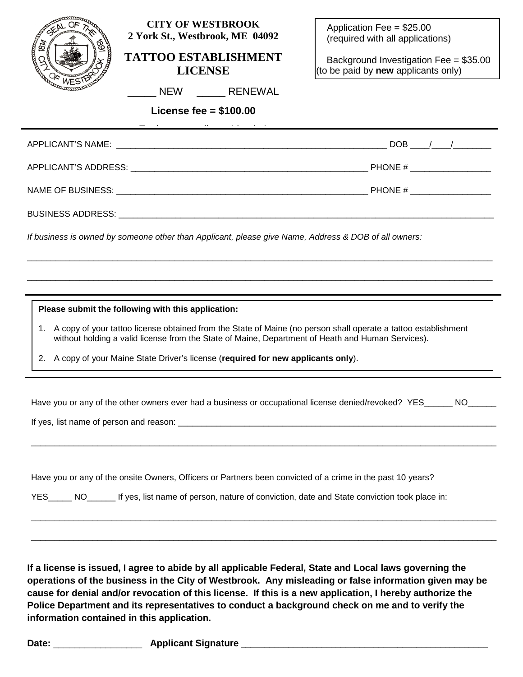|                                                                                                                                                                                                                        | <b>CITY OF WESTBROOK</b><br>2 York St., Westbrook, ME 04092                                                                                        | Application Fee = $$25.00$<br>(required with all applications) |  |  |  |
|------------------------------------------------------------------------------------------------------------------------------------------------------------------------------------------------------------------------|----------------------------------------------------------------------------------------------------------------------------------------------------|----------------------------------------------------------------|--|--|--|
| ∞                                                                                                                                                                                                                      | <b>TATTOO ESTABLISHMENT</b>                                                                                                                        | Background Investigation Fee = $$35.00$                        |  |  |  |
|                                                                                                                                                                                                                        | <b>LICENSE</b>                                                                                                                                     | (to be paid by new applicants only)                            |  |  |  |
|                                                                                                                                                                                                                        | _____ NEW ________ RENEWAL                                                                                                                         |                                                                |  |  |  |
|                                                                                                                                                                                                                        | License fee = $$100.00$<br><u> Andreas Andreas Andreas Andreas Andreas Andreas Andreas Andreas Andreas Andreas Andreas Andreas Andreas Andreas</u> |                                                                |  |  |  |
|                                                                                                                                                                                                                        |                                                                                                                                                    |                                                                |  |  |  |
|                                                                                                                                                                                                                        |                                                                                                                                                    |                                                                |  |  |  |
|                                                                                                                                                                                                                        |                                                                                                                                                    |                                                                |  |  |  |
|                                                                                                                                                                                                                        |                                                                                                                                                    |                                                                |  |  |  |
| If business is owned by someone other than Applicant, please give Name, Address & DOB of all owners:                                                                                                                   |                                                                                                                                                    |                                                                |  |  |  |
|                                                                                                                                                                                                                        |                                                                                                                                                    |                                                                |  |  |  |
|                                                                                                                                                                                                                        |                                                                                                                                                    |                                                                |  |  |  |
|                                                                                                                                                                                                                        | Please submit the following with this application:                                                                                                 |                                                                |  |  |  |
| 1. A copy of your tattoo license obtained from the State of Maine (no person shall operate a tattoo establishment<br>without holding a valid license from the State of Maine, Department of Heath and Human Services). |                                                                                                                                                    |                                                                |  |  |  |
|                                                                                                                                                                                                                        | 2. A copy of your Maine State Driver's license (required for new applicants only).                                                                 |                                                                |  |  |  |
|                                                                                                                                                                                                                        |                                                                                                                                                    |                                                                |  |  |  |
|                                                                                                                                                                                                                        | Have you or any of the other owners ever had a business or occupational license denied/revoked? YES                                                |                                                                |  |  |  |
|                                                                                                                                                                                                                        |                                                                                                                                                    |                                                                |  |  |  |
|                                                                                                                                                                                                                        |                                                                                                                                                    |                                                                |  |  |  |
|                                                                                                                                                                                                                        |                                                                                                                                                    |                                                                |  |  |  |
| Have you or any of the onsite Owners, Officers or Partners been convicted of a crime in the past 10 years?                                                                                                             |                                                                                                                                                    |                                                                |  |  |  |
| YES______ NO________ If yes, list name of person, nature of conviction, date and State conviction took place in:                                                                                                       |                                                                                                                                                    |                                                                |  |  |  |
|                                                                                                                                                                                                                        |                                                                                                                                                    |                                                                |  |  |  |
|                                                                                                                                                                                                                        |                                                                                                                                                    |                                                                |  |  |  |
|                                                                                                                                                                                                                        | If a license is issued, I agree to abide by all applicable Federal, State and Local laws governing the                                             |                                                                |  |  |  |
| operations of the business in the City of Westbrook. Any misleading or false information given may be<br>cause for denial and/or revocation of this license. If this is a new application, I hereby authorize the      |                                                                                                                                                    |                                                                |  |  |  |
| Police Department and its representatives to conduct a background check on me and to verify the<br>information contained in this application.                                                                          |                                                                                                                                                    |                                                                |  |  |  |
|                                                                                                                                                                                                                        |                                                                                                                                                    |                                                                |  |  |  |
| Date: $\_\_$                                                                                                                                                                                                           |                                                                                                                                                    |                                                                |  |  |  |